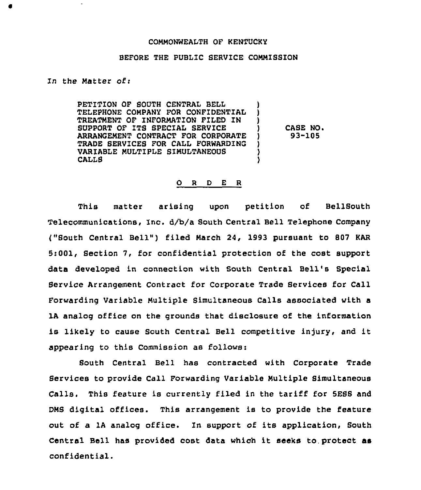## COMMONWEALTH OF KENTUCKY

## BEFORE THE PUBLIC SERVICE COMMISSION

In the Matter ofi

PETITION OF SOUTH CENTRAL BELL TELEPHONE COMPANY FOR CONFIDENTIAL TREATMENT OF INFORMATION FILED IN SUPPORT OF ITS SPECIAL SERVICE ARRANGEMENT CONTRACT FOR CORPORATE TRADE SERVICES FOR CALL FORWARDING VARIABLE MULTIPLE SIMULTANEOUS CALLS ) } ) CASE NO. ) )

} 93-105

## O R D E R

This matter arising upon petition of BellSouth Telecommunications, Inc. d/b/a South Central Bell Telephone Company ("South Central Bell") filed March 24, 1993 pursuant to 807 KAR 5:001, Section 7, for confidential protection of the cost support data developed in connection with South Central Bell's Special Bervice Arrangement Contract for Corporate Trade Services for Call Forwarding Variable Multiple Simultaneous Calls associated with a lA analog office on the grounds that disclosure of the information is likely to cause South Central Bell competitive injury, and it appearing to this Commission as follows:

South Central Bell has contracted with Corporate Trade Services to provide Call Forwarding Variable Multiple Simultaneous Calls. This feature is currently filed in the tariff for SESS and DMS digital offices. This arrangement is to provide the feature out of a 1A analog office. In support of its application, South Central Bell has provided cost data which it seeks to.protect as confidential.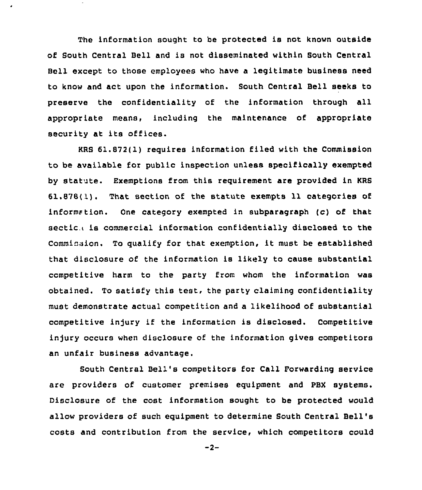The information sought to be protected is not known outside of South Central Bell and is not disseminated within South Central Bell except to those employees who have a legitimate business need to know and act upon the information. South Central Bell seeks to preserve the confidentiality of the information through all appropriate means, including the maintenance of appropriate security at its offices.

KRS 61.872(1) requires information filed with the Commission to be available for public inspection unless specifically exempted by statute. Exemptions from this requirement are provided in KRS  $61.878(1)$ . That section of the statute exempts 11 categories of information. One category exempted in subparagraph (c) of that sectic. is commercial information confidentially disclosed to the Commission. To qualify for that exemption, it must be established that disclosure of the information is likely to cause substantial competitive harm to the party from whom the information was obtained. To satisfy this test, the party claiming confidentiality must demonstrate actual competition and a likelihood of substantial competitive injury if the information is disclosed. Competitive injury occurs when disclosure of the information gives competitors an unfair business advantage.

South Central Bell's competitors for Call Forwarding service are providers of customer premises equipment and PBX systems. Oisclosure of the cost information sought to be protected would allow providers of such equipment to determine South Central Bell' costs and contribution from the service, which competitors could

 $-2-$